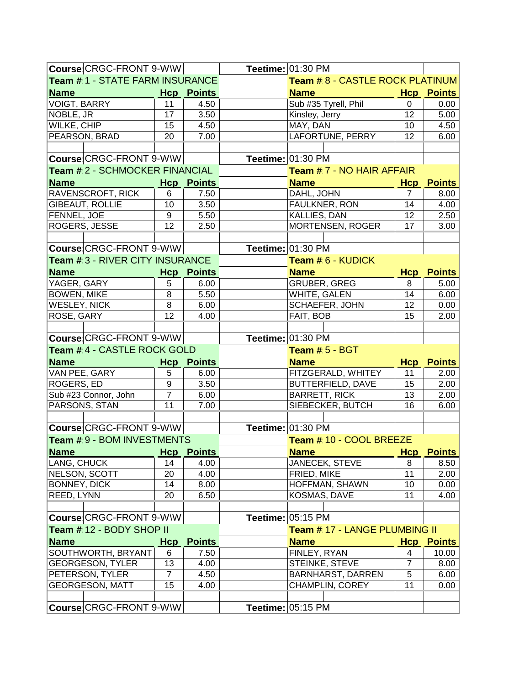| Course CRGC-FRONT 9-W\W         |                  |                   | Teetime: 01:30 PM                    |                |                   |  |
|---------------------------------|------------------|-------------------|--------------------------------------|----------------|-------------------|--|
| Team #1 - STATE FARM INSURANCE  |                  |                   | Team # 8 - CASTLE ROCK PLATINUM      |                |                   |  |
| <b>Name</b>                     |                  | <b>Hcp Points</b> | <b>Name</b>                          |                | <b>Hcp Points</b> |  |
| <b>VOIGT, BARRY</b>             | 11               | 4.50              | Sub #35 Tyrell, Phil                 | 0              | 0.00              |  |
| NOBLE, JR                       | 17               | 3.50              | Kinsley, Jerry                       | 12             | 5.00              |  |
| WILKE, CHIP                     | 15               | 4.50              | MAY, DAN                             | 10             | 4.50              |  |
| PEARSON, BRAD                   | 20               | 7.00              | LAFORTUNE, PERRY                     | 12             | 6.00              |  |
|                                 |                  |                   |                                      |                |                   |  |
| Course CRGC-FRONT 9-W\W         |                  |                   | Teetime: 01:30 PM                    |                |                   |  |
| Team # 2 - SCHMOCKER FINANCIAL  |                  |                   | Team # 7 - NO HAIR AFFAIR            |                |                   |  |
| <b>Name</b>                     |                  | <b>Hcp</b> Points | <b>Name</b>                          | <u>Hcp_</u>    | <b>Points</b>     |  |
| RAVENSCROFT, RICK               | 6                | 7.50              | DAHL, JOHN                           | 7              | 8.00              |  |
| GIBEAUT, ROLLIE                 | 10               | 3.50              | FAULKNER, RON                        | 14             | 4.00              |  |
| FENNEL, JOE                     | $\boldsymbol{9}$ | 5.50              | KALLIES, DAN                         | 12             | 2.50              |  |
| ROGERS, JESSE                   | 12               | 2.50              | MORTENSEN, ROGER                     | 17             | 3.00              |  |
|                                 |                  |                   |                                      |                |                   |  |
| Course CRGC-FRONT 9-W\W         |                  |                   | Teetime: 01:30 PM                    |                |                   |  |
| Team # 3 - RIVER CITY INSURANCE |                  |                   | Team #: 6 - KUDICK                   |                |                   |  |
| <b>Name</b>                     |                  | <b>Hcp</b> Points | <b>Name</b>                          | <b>Hcp</b>     | <b>Points</b>     |  |
| YAGER, GARY                     | 5                | 6.00              | GRUBER, GREG                         | 8              | 5.00              |  |
| <b>BOWEN, MIKE</b>              | 8                | 5.50              | WHITE, GALEN                         | 14             | 6.00              |  |
| <b>WESLEY, NICK</b>             | 8                | 6.00              | SCHAEFER, JOHN                       | 12             | 0.00              |  |
| ROSE, GARY                      | 12               | 4.00              | FAIT, BOB                            | 15             | 2.00              |  |
|                                 |                  |                   |                                      |                |                   |  |
| Course CRGC-FRONT 9-W\W         |                  |                   | Teetime: 01:30 PM                    |                |                   |  |
| Team # 4 - CASTLE ROCK GOLD     |                  |                   | Team $# 5 - BGT$                     |                |                   |  |
| <b>Name</b>                     |                  | <b>Hcp Points</b> | <b>Name</b>                          |                | <b>Hcp Points</b> |  |
| VAN PEE, GARY                   | 5                | 6.00              | FITZGERALD, WHITEY                   | 11             | 2.00              |  |
| ROGERS, ED                      | $\overline{9}$   | 3.50              | <b>BUTTERFIELD, DAVE</b>             | 15             | 2.00              |  |
| Sub #23 Connor, John            | $\overline{7}$   | 6.00              | <b>BARRETT, RICK</b>                 | 13             | 2.00              |  |
| PARSONS, STAN                   | 11               | 7.00              | SIEBECKER, BUTCH                     | 16             | 6.00              |  |
|                                 |                  |                   |                                      |                |                   |  |
| Course CRGC-FRONT 9-W\W         |                  |                   | Teetime: 01:30 PM                    |                |                   |  |
| Team # 9 - BOM INVESTMENTS      |                  |                   | Team # 10 - COOL BREEZE              |                |                   |  |
| <b>Name</b>                     | Hcp              | <b>Points</b>     | <b>Name</b>                          | <b>Hcp</b>     | <b>Points</b>     |  |
| LANG, CHUCK                     | 14               | 4.00              | JANECEK, STEVE                       | 8              | 8.50              |  |
| NELSON, SCOTT                   | 20               | 4.00              | FRIED, MIKE                          | 11             | 2.00              |  |
| <b>BONNEY, DICK</b>             | 14               | 8.00              | HOFFMAN, SHAWN                       | 10             | 0.00              |  |
| REED, LYNN                      | 20               | 6.50              | KOSMAS, DAVE                         | 11             | 4.00              |  |
|                                 |                  |                   |                                      |                |                   |  |
| Course CRGC-FRONT 9-W\W         |                  |                   | Teetime: 05:15 PM                    |                |                   |  |
| Team # 12 - BODY SHOP II        |                  |                   | <b>Team # 17 - LANGE PLUMBING II</b> |                |                   |  |
| <b>Name</b>                     | <b>Hcp</b>       | <b>Points</b>     | <b>Name</b>                          |                | <b>Hcp</b> Points |  |
| SOUTHWORTH, BRYANT              | 6                | 7.50              | FINLEY, RYAN                         | 4              | 10.00             |  |
| <b>GEORGESON, TYLER</b>         | 13               | 4.00              | STEINKE, STEVE                       | $\overline{7}$ | 8.00              |  |
| PETERSON, TYLER                 | $\overline{7}$   | 4.50              | <b>BARNHARST, DARREN</b>             | 5              | 6.00              |  |
| <b>GEORGESON, MATT</b>          | 15               | 4.00              | CHAMPLIN, COREY                      | 11             | 0.00              |  |
|                                 |                  |                   |                                      |                |                   |  |
| Course CRGC-FRONT 9-W\W         |                  |                   | Teetime: $05:15$ PM                  |                |                   |  |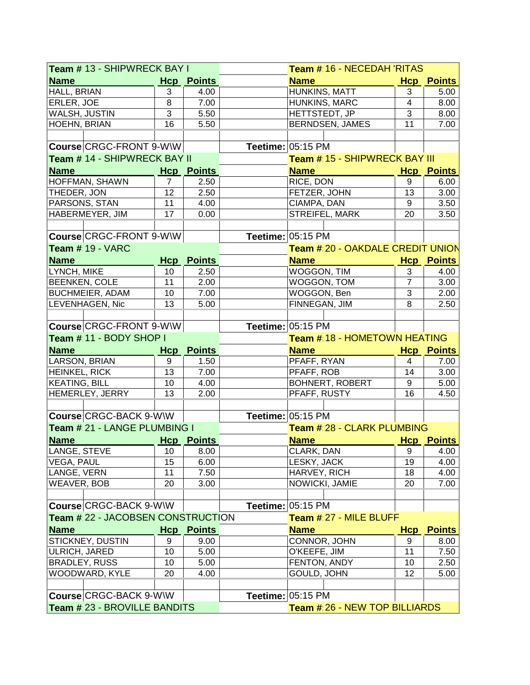| <b>Name</b><br><b>Name</b><br><b>Hcp</b> Points<br><b>Hcp</b> Points<br>HALL, BRIAN<br>HUNKINS, MATT<br>3<br>4.00<br>3<br>5.00<br>HUNKINS, MARC<br>8<br>7.00<br>$\overline{\mathcal{A}}$<br>8.00<br>$\overline{3}$<br>WALSH, JUSTIN<br>HETTSTEDT, JP<br>3<br>5.50<br>8.00<br>11<br><b>HOEHN, BRIAN</b><br>16<br>5.50<br><b>BERNDSEN, JAMES</b><br>7.00<br>Course CRGC-FRONT 9-W\W<br>Teetime: 05:15 PM<br>Team # 14 - SHIPWRECK BAY II<br>Team # 15 - SHIPWRECK BAY III<br><b>Name</b><br><b>Name</b><br><b>Hcp Points</b><br><b>Hcp Points</b><br>HOFFMAN, SHAWN<br>RICE, DON<br>$\overline{7}$<br>2.50<br>9<br>6.00<br>12<br>FETZER, JOHN<br>13<br>THEDER, JON<br>2.50<br>3.00<br>$\overline{9}$<br>11<br>CIAMPA, DAN<br>PARSONS, STAN<br>4.00<br>3.50<br>HABERMEYER, JIM<br>STREIFEL, MARK<br>20<br>17<br>0.00<br>3.50<br>Course CRGC-FRONT 9-W\W<br>Teetime: $05:15$ PM<br>Team # 20 - OAKDALE CREDIT UNION<br><b>Team # 19 - VARC</b><br><b>Name</b><br><b>Hcp</b> Points<br><b>Hcp Points</b><br><b>Name</b><br>WOGGON, TIM<br>LYNCH, MIKE<br>10<br>2.50<br>3<br>4.00<br><b>BEENKEN, COLE</b><br>$\overline{7}$<br>11<br>WOGGON, TOM<br>3.00<br>2.00<br><b>BUCHMEIER, ADAM</b><br>3<br>10<br>7.00<br>WOGGON, Ben<br>2.00<br>8<br>LEVENHAGEN, Nic<br>13<br>5.00<br>FINNEGAN, JIM<br>2.50<br>Course CRGC-FRONT 9-W\W<br>Teetime: 05:15 PM<br>Team # 11 - BODY SHOP I<br>Team # 18 - HOMETOWN HEATING<br><b>Name</b><br><b>Hcp</b> Points<br><b>Name</b><br><b>Hcp</b> Points<br>LARSON, BRIAN<br>PFAFF, RYAN<br>1.50<br>9<br>4<br>7.00<br>HEINKEL, RICK<br>PFAFF, ROB<br>3.00<br>13<br>7.00<br>14<br>KEATING, BILL<br>BOHNERT, ROBERT<br>5.00<br>10<br>4.00<br>9<br>HEMERLEY, JERRY<br>13<br>16<br>2.00<br>PFAFF, RUSTY<br>4.50<br>Course CRGC-BACK 9-W\W<br>Teetime: 05:15 PM<br>Team # 21 - LANGE PLUMBING I<br>Team # 28 - CLARK PLUMBING<br>Name<br><b>Name</b><br><b>Hcp Points</b><br><b>Hcp Points</b><br>LANGE, STEVE<br>CLARK, DAN<br>10<br>8.00<br>9<br>4.00<br><b>VEGA, PAUL</b><br>15<br>LESKY, JACK<br>19<br>6.00<br>4.00<br>LANGE, VERN<br>HARVEY, RICH<br>11<br>7.50<br>18<br>4.00<br>20<br><b>WEAVER, BOB</b><br>20<br>NOWICKI, JAMIE<br>3.00<br>7.00<br>Course CRGC-BACK 9-W\W<br>Teetime: 05:15 PM<br><b>Team # 22 - JACOBSEN CONSTRUCTION</b><br>Team # 27 - MILE BLUFF<br><b>Name</b><br>Points<br><b>Name</b><br><b>Points</b><br><u>Hcp</u><br><u>Hcp_</u><br>CONNOR, JOHN<br>STICKNEY, DUSTIN<br>9<br>9<br>9.00<br>8.00<br>ULRICH, JARED<br>O'KEEFE, JIM<br>10<br>5.00<br>11<br>7.50<br><b>BRADLEY, RUSS</b><br>5.00<br>FENTON, ANDY<br>10<br>2.50<br>10<br>12<br>WOODWARD, KYLE<br>20<br>4.00<br>GOULD, JOHN<br>5.00<br>Teetime: $05:15$ PM<br>Course CRGC-BACK 9-W\W<br>Team # 23 - BROVILLE BANDITS<br>Team # 26 - NEW TOP BILLIARDS | Team # 13 - SHIPWRECK BAY I |  |  | <b>Team # 16 - NECEDAH 'RITAS</b> |  |  |
|--------------------------------------------------------------------------------------------------------------------------------------------------------------------------------------------------------------------------------------------------------------------------------------------------------------------------------------------------------------------------------------------------------------------------------------------------------------------------------------------------------------------------------------------------------------------------------------------------------------------------------------------------------------------------------------------------------------------------------------------------------------------------------------------------------------------------------------------------------------------------------------------------------------------------------------------------------------------------------------------------------------------------------------------------------------------------------------------------------------------------------------------------------------------------------------------------------------------------------------------------------------------------------------------------------------------------------------------------------------------------------------------------------------------------------------------------------------------------------------------------------------------------------------------------------------------------------------------------------------------------------------------------------------------------------------------------------------------------------------------------------------------------------------------------------------------------------------------------------------------------------------------------------------------------------------------------------------------------------------------------------------------------------------------------------------------------------------------------------------------------------------------------------------------------------------------------------------------------------------------------------------------------------------------------------------------------------------------------------------------------------------------------------------------------------------------------------------------------------------------------------------------------------------------------------------------------------------------------------------------------------------------------------------------------------------------------------------------------------------------------------------------|-----------------------------|--|--|-----------------------------------|--|--|
|                                                                                                                                                                                                                                                                                                                                                                                                                                                                                                                                                                                                                                                                                                                                                                                                                                                                                                                                                                                                                                                                                                                                                                                                                                                                                                                                                                                                                                                                                                                                                                                                                                                                                                                                                                                                                                                                                                                                                                                                                                                                                                                                                                                                                                                                                                                                                                                                                                                                                                                                                                                                                                                                                                                                                                    |                             |  |  |                                   |  |  |
|                                                                                                                                                                                                                                                                                                                                                                                                                                                                                                                                                                                                                                                                                                                                                                                                                                                                                                                                                                                                                                                                                                                                                                                                                                                                                                                                                                                                                                                                                                                                                                                                                                                                                                                                                                                                                                                                                                                                                                                                                                                                                                                                                                                                                                                                                                                                                                                                                                                                                                                                                                                                                                                                                                                                                                    |                             |  |  |                                   |  |  |
|                                                                                                                                                                                                                                                                                                                                                                                                                                                                                                                                                                                                                                                                                                                                                                                                                                                                                                                                                                                                                                                                                                                                                                                                                                                                                                                                                                                                                                                                                                                                                                                                                                                                                                                                                                                                                                                                                                                                                                                                                                                                                                                                                                                                                                                                                                                                                                                                                                                                                                                                                                                                                                                                                                                                                                    | <b>ERLER, JOE</b>           |  |  |                                   |  |  |
|                                                                                                                                                                                                                                                                                                                                                                                                                                                                                                                                                                                                                                                                                                                                                                                                                                                                                                                                                                                                                                                                                                                                                                                                                                                                                                                                                                                                                                                                                                                                                                                                                                                                                                                                                                                                                                                                                                                                                                                                                                                                                                                                                                                                                                                                                                                                                                                                                                                                                                                                                                                                                                                                                                                                                                    |                             |  |  |                                   |  |  |
|                                                                                                                                                                                                                                                                                                                                                                                                                                                                                                                                                                                                                                                                                                                                                                                                                                                                                                                                                                                                                                                                                                                                                                                                                                                                                                                                                                                                                                                                                                                                                                                                                                                                                                                                                                                                                                                                                                                                                                                                                                                                                                                                                                                                                                                                                                                                                                                                                                                                                                                                                                                                                                                                                                                                                                    |                             |  |  |                                   |  |  |
|                                                                                                                                                                                                                                                                                                                                                                                                                                                                                                                                                                                                                                                                                                                                                                                                                                                                                                                                                                                                                                                                                                                                                                                                                                                                                                                                                                                                                                                                                                                                                                                                                                                                                                                                                                                                                                                                                                                                                                                                                                                                                                                                                                                                                                                                                                                                                                                                                                                                                                                                                                                                                                                                                                                                                                    |                             |  |  |                                   |  |  |
|                                                                                                                                                                                                                                                                                                                                                                                                                                                                                                                                                                                                                                                                                                                                                                                                                                                                                                                                                                                                                                                                                                                                                                                                                                                                                                                                                                                                                                                                                                                                                                                                                                                                                                                                                                                                                                                                                                                                                                                                                                                                                                                                                                                                                                                                                                                                                                                                                                                                                                                                                                                                                                                                                                                                                                    |                             |  |  |                                   |  |  |
|                                                                                                                                                                                                                                                                                                                                                                                                                                                                                                                                                                                                                                                                                                                                                                                                                                                                                                                                                                                                                                                                                                                                                                                                                                                                                                                                                                                                                                                                                                                                                                                                                                                                                                                                                                                                                                                                                                                                                                                                                                                                                                                                                                                                                                                                                                                                                                                                                                                                                                                                                                                                                                                                                                                                                                    |                             |  |  |                                   |  |  |
|                                                                                                                                                                                                                                                                                                                                                                                                                                                                                                                                                                                                                                                                                                                                                                                                                                                                                                                                                                                                                                                                                                                                                                                                                                                                                                                                                                                                                                                                                                                                                                                                                                                                                                                                                                                                                                                                                                                                                                                                                                                                                                                                                                                                                                                                                                                                                                                                                                                                                                                                                                                                                                                                                                                                                                    |                             |  |  |                                   |  |  |
|                                                                                                                                                                                                                                                                                                                                                                                                                                                                                                                                                                                                                                                                                                                                                                                                                                                                                                                                                                                                                                                                                                                                                                                                                                                                                                                                                                                                                                                                                                                                                                                                                                                                                                                                                                                                                                                                                                                                                                                                                                                                                                                                                                                                                                                                                                                                                                                                                                                                                                                                                                                                                                                                                                                                                                    |                             |  |  |                                   |  |  |
|                                                                                                                                                                                                                                                                                                                                                                                                                                                                                                                                                                                                                                                                                                                                                                                                                                                                                                                                                                                                                                                                                                                                                                                                                                                                                                                                                                                                                                                                                                                                                                                                                                                                                                                                                                                                                                                                                                                                                                                                                                                                                                                                                                                                                                                                                                                                                                                                                                                                                                                                                                                                                                                                                                                                                                    |                             |  |  |                                   |  |  |
|                                                                                                                                                                                                                                                                                                                                                                                                                                                                                                                                                                                                                                                                                                                                                                                                                                                                                                                                                                                                                                                                                                                                                                                                                                                                                                                                                                                                                                                                                                                                                                                                                                                                                                                                                                                                                                                                                                                                                                                                                                                                                                                                                                                                                                                                                                                                                                                                                                                                                                                                                                                                                                                                                                                                                                    |                             |  |  |                                   |  |  |
|                                                                                                                                                                                                                                                                                                                                                                                                                                                                                                                                                                                                                                                                                                                                                                                                                                                                                                                                                                                                                                                                                                                                                                                                                                                                                                                                                                                                                                                                                                                                                                                                                                                                                                                                                                                                                                                                                                                                                                                                                                                                                                                                                                                                                                                                                                                                                                                                                                                                                                                                                                                                                                                                                                                                                                    |                             |  |  |                                   |  |  |
|                                                                                                                                                                                                                                                                                                                                                                                                                                                                                                                                                                                                                                                                                                                                                                                                                                                                                                                                                                                                                                                                                                                                                                                                                                                                                                                                                                                                                                                                                                                                                                                                                                                                                                                                                                                                                                                                                                                                                                                                                                                                                                                                                                                                                                                                                                                                                                                                                                                                                                                                                                                                                                                                                                                                                                    |                             |  |  |                                   |  |  |
|                                                                                                                                                                                                                                                                                                                                                                                                                                                                                                                                                                                                                                                                                                                                                                                                                                                                                                                                                                                                                                                                                                                                                                                                                                                                                                                                                                                                                                                                                                                                                                                                                                                                                                                                                                                                                                                                                                                                                                                                                                                                                                                                                                                                                                                                                                                                                                                                                                                                                                                                                                                                                                                                                                                                                                    |                             |  |  |                                   |  |  |
|                                                                                                                                                                                                                                                                                                                                                                                                                                                                                                                                                                                                                                                                                                                                                                                                                                                                                                                                                                                                                                                                                                                                                                                                                                                                                                                                                                                                                                                                                                                                                                                                                                                                                                                                                                                                                                                                                                                                                                                                                                                                                                                                                                                                                                                                                                                                                                                                                                                                                                                                                                                                                                                                                                                                                                    |                             |  |  |                                   |  |  |
|                                                                                                                                                                                                                                                                                                                                                                                                                                                                                                                                                                                                                                                                                                                                                                                                                                                                                                                                                                                                                                                                                                                                                                                                                                                                                                                                                                                                                                                                                                                                                                                                                                                                                                                                                                                                                                                                                                                                                                                                                                                                                                                                                                                                                                                                                                                                                                                                                                                                                                                                                                                                                                                                                                                                                                    |                             |  |  |                                   |  |  |
|                                                                                                                                                                                                                                                                                                                                                                                                                                                                                                                                                                                                                                                                                                                                                                                                                                                                                                                                                                                                                                                                                                                                                                                                                                                                                                                                                                                                                                                                                                                                                                                                                                                                                                                                                                                                                                                                                                                                                                                                                                                                                                                                                                                                                                                                                                                                                                                                                                                                                                                                                                                                                                                                                                                                                                    |                             |  |  |                                   |  |  |
|                                                                                                                                                                                                                                                                                                                                                                                                                                                                                                                                                                                                                                                                                                                                                                                                                                                                                                                                                                                                                                                                                                                                                                                                                                                                                                                                                                                                                                                                                                                                                                                                                                                                                                                                                                                                                                                                                                                                                                                                                                                                                                                                                                                                                                                                                                                                                                                                                                                                                                                                                                                                                                                                                                                                                                    |                             |  |  |                                   |  |  |
|                                                                                                                                                                                                                                                                                                                                                                                                                                                                                                                                                                                                                                                                                                                                                                                                                                                                                                                                                                                                                                                                                                                                                                                                                                                                                                                                                                                                                                                                                                                                                                                                                                                                                                                                                                                                                                                                                                                                                                                                                                                                                                                                                                                                                                                                                                                                                                                                                                                                                                                                                                                                                                                                                                                                                                    |                             |  |  |                                   |  |  |
|                                                                                                                                                                                                                                                                                                                                                                                                                                                                                                                                                                                                                                                                                                                                                                                                                                                                                                                                                                                                                                                                                                                                                                                                                                                                                                                                                                                                                                                                                                                                                                                                                                                                                                                                                                                                                                                                                                                                                                                                                                                                                                                                                                                                                                                                                                                                                                                                                                                                                                                                                                                                                                                                                                                                                                    |                             |  |  |                                   |  |  |
|                                                                                                                                                                                                                                                                                                                                                                                                                                                                                                                                                                                                                                                                                                                                                                                                                                                                                                                                                                                                                                                                                                                                                                                                                                                                                                                                                                                                                                                                                                                                                                                                                                                                                                                                                                                                                                                                                                                                                                                                                                                                                                                                                                                                                                                                                                                                                                                                                                                                                                                                                                                                                                                                                                                                                                    |                             |  |  |                                   |  |  |
|                                                                                                                                                                                                                                                                                                                                                                                                                                                                                                                                                                                                                                                                                                                                                                                                                                                                                                                                                                                                                                                                                                                                                                                                                                                                                                                                                                                                                                                                                                                                                                                                                                                                                                                                                                                                                                                                                                                                                                                                                                                                                                                                                                                                                                                                                                                                                                                                                                                                                                                                                                                                                                                                                                                                                                    |                             |  |  |                                   |  |  |
|                                                                                                                                                                                                                                                                                                                                                                                                                                                                                                                                                                                                                                                                                                                                                                                                                                                                                                                                                                                                                                                                                                                                                                                                                                                                                                                                                                                                                                                                                                                                                                                                                                                                                                                                                                                                                                                                                                                                                                                                                                                                                                                                                                                                                                                                                                                                                                                                                                                                                                                                                                                                                                                                                                                                                                    |                             |  |  |                                   |  |  |
|                                                                                                                                                                                                                                                                                                                                                                                                                                                                                                                                                                                                                                                                                                                                                                                                                                                                                                                                                                                                                                                                                                                                                                                                                                                                                                                                                                                                                                                                                                                                                                                                                                                                                                                                                                                                                                                                                                                                                                                                                                                                                                                                                                                                                                                                                                                                                                                                                                                                                                                                                                                                                                                                                                                                                                    |                             |  |  |                                   |  |  |
|                                                                                                                                                                                                                                                                                                                                                                                                                                                                                                                                                                                                                                                                                                                                                                                                                                                                                                                                                                                                                                                                                                                                                                                                                                                                                                                                                                                                                                                                                                                                                                                                                                                                                                                                                                                                                                                                                                                                                                                                                                                                                                                                                                                                                                                                                                                                                                                                                                                                                                                                                                                                                                                                                                                                                                    |                             |  |  |                                   |  |  |
|                                                                                                                                                                                                                                                                                                                                                                                                                                                                                                                                                                                                                                                                                                                                                                                                                                                                                                                                                                                                                                                                                                                                                                                                                                                                                                                                                                                                                                                                                                                                                                                                                                                                                                                                                                                                                                                                                                                                                                                                                                                                                                                                                                                                                                                                                                                                                                                                                                                                                                                                                                                                                                                                                                                                                                    |                             |  |  |                                   |  |  |
|                                                                                                                                                                                                                                                                                                                                                                                                                                                                                                                                                                                                                                                                                                                                                                                                                                                                                                                                                                                                                                                                                                                                                                                                                                                                                                                                                                                                                                                                                                                                                                                                                                                                                                                                                                                                                                                                                                                                                                                                                                                                                                                                                                                                                                                                                                                                                                                                                                                                                                                                                                                                                                                                                                                                                                    |                             |  |  |                                   |  |  |
|                                                                                                                                                                                                                                                                                                                                                                                                                                                                                                                                                                                                                                                                                                                                                                                                                                                                                                                                                                                                                                                                                                                                                                                                                                                                                                                                                                                                                                                                                                                                                                                                                                                                                                                                                                                                                                                                                                                                                                                                                                                                                                                                                                                                                                                                                                                                                                                                                                                                                                                                                                                                                                                                                                                                                                    |                             |  |  |                                   |  |  |
|                                                                                                                                                                                                                                                                                                                                                                                                                                                                                                                                                                                                                                                                                                                                                                                                                                                                                                                                                                                                                                                                                                                                                                                                                                                                                                                                                                                                                                                                                                                                                                                                                                                                                                                                                                                                                                                                                                                                                                                                                                                                                                                                                                                                                                                                                                                                                                                                                                                                                                                                                                                                                                                                                                                                                                    |                             |  |  |                                   |  |  |
|                                                                                                                                                                                                                                                                                                                                                                                                                                                                                                                                                                                                                                                                                                                                                                                                                                                                                                                                                                                                                                                                                                                                                                                                                                                                                                                                                                                                                                                                                                                                                                                                                                                                                                                                                                                                                                                                                                                                                                                                                                                                                                                                                                                                                                                                                                                                                                                                                                                                                                                                                                                                                                                                                                                                                                    |                             |  |  |                                   |  |  |
|                                                                                                                                                                                                                                                                                                                                                                                                                                                                                                                                                                                                                                                                                                                                                                                                                                                                                                                                                                                                                                                                                                                                                                                                                                                                                                                                                                                                                                                                                                                                                                                                                                                                                                                                                                                                                                                                                                                                                                                                                                                                                                                                                                                                                                                                                                                                                                                                                                                                                                                                                                                                                                                                                                                                                                    |                             |  |  |                                   |  |  |
|                                                                                                                                                                                                                                                                                                                                                                                                                                                                                                                                                                                                                                                                                                                                                                                                                                                                                                                                                                                                                                                                                                                                                                                                                                                                                                                                                                                                                                                                                                                                                                                                                                                                                                                                                                                                                                                                                                                                                                                                                                                                                                                                                                                                                                                                                                                                                                                                                                                                                                                                                                                                                                                                                                                                                                    |                             |  |  |                                   |  |  |
|                                                                                                                                                                                                                                                                                                                                                                                                                                                                                                                                                                                                                                                                                                                                                                                                                                                                                                                                                                                                                                                                                                                                                                                                                                                                                                                                                                                                                                                                                                                                                                                                                                                                                                                                                                                                                                                                                                                                                                                                                                                                                                                                                                                                                                                                                                                                                                                                                                                                                                                                                                                                                                                                                                                                                                    |                             |  |  |                                   |  |  |
|                                                                                                                                                                                                                                                                                                                                                                                                                                                                                                                                                                                                                                                                                                                                                                                                                                                                                                                                                                                                                                                                                                                                                                                                                                                                                                                                                                                                                                                                                                                                                                                                                                                                                                                                                                                                                                                                                                                                                                                                                                                                                                                                                                                                                                                                                                                                                                                                                                                                                                                                                                                                                                                                                                                                                                    |                             |  |  |                                   |  |  |
|                                                                                                                                                                                                                                                                                                                                                                                                                                                                                                                                                                                                                                                                                                                                                                                                                                                                                                                                                                                                                                                                                                                                                                                                                                                                                                                                                                                                                                                                                                                                                                                                                                                                                                                                                                                                                                                                                                                                                                                                                                                                                                                                                                                                                                                                                                                                                                                                                                                                                                                                                                                                                                                                                                                                                                    |                             |  |  |                                   |  |  |
|                                                                                                                                                                                                                                                                                                                                                                                                                                                                                                                                                                                                                                                                                                                                                                                                                                                                                                                                                                                                                                                                                                                                                                                                                                                                                                                                                                                                                                                                                                                                                                                                                                                                                                                                                                                                                                                                                                                                                                                                                                                                                                                                                                                                                                                                                                                                                                                                                                                                                                                                                                                                                                                                                                                                                                    |                             |  |  |                                   |  |  |
|                                                                                                                                                                                                                                                                                                                                                                                                                                                                                                                                                                                                                                                                                                                                                                                                                                                                                                                                                                                                                                                                                                                                                                                                                                                                                                                                                                                                                                                                                                                                                                                                                                                                                                                                                                                                                                                                                                                                                                                                                                                                                                                                                                                                                                                                                                                                                                                                                                                                                                                                                                                                                                                                                                                                                                    |                             |  |  |                                   |  |  |
|                                                                                                                                                                                                                                                                                                                                                                                                                                                                                                                                                                                                                                                                                                                                                                                                                                                                                                                                                                                                                                                                                                                                                                                                                                                                                                                                                                                                                                                                                                                                                                                                                                                                                                                                                                                                                                                                                                                                                                                                                                                                                                                                                                                                                                                                                                                                                                                                                                                                                                                                                                                                                                                                                                                                                                    |                             |  |  |                                   |  |  |
|                                                                                                                                                                                                                                                                                                                                                                                                                                                                                                                                                                                                                                                                                                                                                                                                                                                                                                                                                                                                                                                                                                                                                                                                                                                                                                                                                                                                                                                                                                                                                                                                                                                                                                                                                                                                                                                                                                                                                                                                                                                                                                                                                                                                                                                                                                                                                                                                                                                                                                                                                                                                                                                                                                                                                                    |                             |  |  |                                   |  |  |
|                                                                                                                                                                                                                                                                                                                                                                                                                                                                                                                                                                                                                                                                                                                                                                                                                                                                                                                                                                                                                                                                                                                                                                                                                                                                                                                                                                                                                                                                                                                                                                                                                                                                                                                                                                                                                                                                                                                                                                                                                                                                                                                                                                                                                                                                                                                                                                                                                                                                                                                                                                                                                                                                                                                                                                    |                             |  |  |                                   |  |  |
|                                                                                                                                                                                                                                                                                                                                                                                                                                                                                                                                                                                                                                                                                                                                                                                                                                                                                                                                                                                                                                                                                                                                                                                                                                                                                                                                                                                                                                                                                                                                                                                                                                                                                                                                                                                                                                                                                                                                                                                                                                                                                                                                                                                                                                                                                                                                                                                                                                                                                                                                                                                                                                                                                                                                                                    |                             |  |  |                                   |  |  |
|                                                                                                                                                                                                                                                                                                                                                                                                                                                                                                                                                                                                                                                                                                                                                                                                                                                                                                                                                                                                                                                                                                                                                                                                                                                                                                                                                                                                                                                                                                                                                                                                                                                                                                                                                                                                                                                                                                                                                                                                                                                                                                                                                                                                                                                                                                                                                                                                                                                                                                                                                                                                                                                                                                                                                                    |                             |  |  |                                   |  |  |
|                                                                                                                                                                                                                                                                                                                                                                                                                                                                                                                                                                                                                                                                                                                                                                                                                                                                                                                                                                                                                                                                                                                                                                                                                                                                                                                                                                                                                                                                                                                                                                                                                                                                                                                                                                                                                                                                                                                                                                                                                                                                                                                                                                                                                                                                                                                                                                                                                                                                                                                                                                                                                                                                                                                                                                    |                             |  |  |                                   |  |  |
|                                                                                                                                                                                                                                                                                                                                                                                                                                                                                                                                                                                                                                                                                                                                                                                                                                                                                                                                                                                                                                                                                                                                                                                                                                                                                                                                                                                                                                                                                                                                                                                                                                                                                                                                                                                                                                                                                                                                                                                                                                                                                                                                                                                                                                                                                                                                                                                                                                                                                                                                                                                                                                                                                                                                                                    |                             |  |  |                                   |  |  |
|                                                                                                                                                                                                                                                                                                                                                                                                                                                                                                                                                                                                                                                                                                                                                                                                                                                                                                                                                                                                                                                                                                                                                                                                                                                                                                                                                                                                                                                                                                                                                                                                                                                                                                                                                                                                                                                                                                                                                                                                                                                                                                                                                                                                                                                                                                                                                                                                                                                                                                                                                                                                                                                                                                                                                                    |                             |  |  |                                   |  |  |
|                                                                                                                                                                                                                                                                                                                                                                                                                                                                                                                                                                                                                                                                                                                                                                                                                                                                                                                                                                                                                                                                                                                                                                                                                                                                                                                                                                                                                                                                                                                                                                                                                                                                                                                                                                                                                                                                                                                                                                                                                                                                                                                                                                                                                                                                                                                                                                                                                                                                                                                                                                                                                                                                                                                                                                    |                             |  |  |                                   |  |  |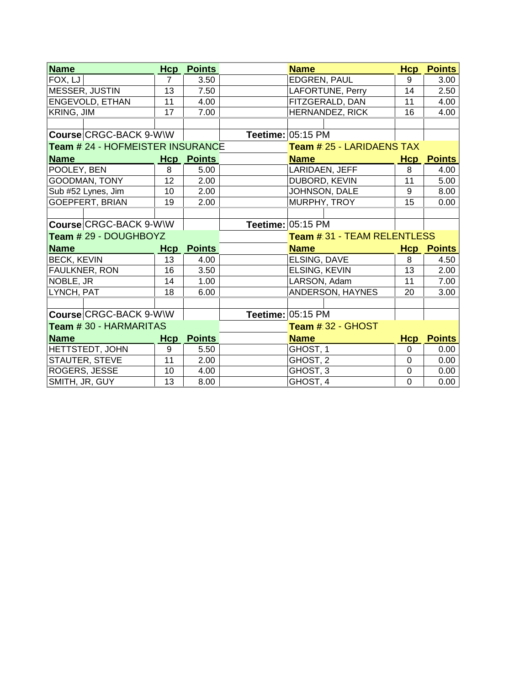| <b>Name</b>                      | Hcp            | <b>Points</b>     | <b>Name</b>                 | <b>Hcp</b>  | <b>Points</b>     |
|----------------------------------|----------------|-------------------|-----------------------------|-------------|-------------------|
| FOX, LJ                          | $\overline{7}$ | 3.50              | EDGREN, PAUL                | 9           | 3.00              |
| MESSER, JUSTIN                   | 13             | 7.50              | LAFORTUNE, Perry            | 14          | 2.50              |
| ENGEVOLD, ETHAN                  | 11             | 4.00              | FITZGERALD, DAN             | 11          | 4.00              |
| KRING, JIM                       | 17             | 7.00              | HERNANDEZ, RICK             | 16          | 4.00              |
|                                  |                |                   |                             |             |                   |
| Course CRGC-BACK 9-W\W           |                |                   | Teetime: 05:15 PM           |             |                   |
| Team # 24 - HOFMEISTER INSURANCE |                |                   | Team # 25 - LARIDAENS TAX   |             |                   |
| <b>Name</b>                      |                | <b>Hcp</b> Points | <b>Name</b>                 | <u>Hcp</u>  | <b>Points</b>     |
| POOLEY, BEN                      | 8              | 5.00              | LARIDAEN, JEFF              | 8           | 4.00              |
| GOODMAN, TONY                    | 12             | 2.00              | DUBORD, KEVIN               | 11          | 5.00              |
| Sub #52 Lynes, Jim               | 10             | 2.00              | JOHNSON, DALE               | 9           | 8.00              |
| GOEPFERT, BRIAN                  | 19             | 2.00              | MURPHY, TROY                | 15          | 0.00              |
|                                  |                |                   |                             |             |                   |
| Course CRGC-BACK 9-W\W           |                |                   | Teetime: 05:15 PM           |             |                   |
| Team # 29 - DOUGHBOYZ            |                |                   | Team # 31 - TEAM RELENTLESS |             |                   |
| <b>Name</b>                      | Hcp            | <b>Points</b>     | <b>Name</b>                 | <b>Hcp</b>  | <b>Points</b>     |
| <b>BECK, KEVIN</b>               | 13             | 4.00              | ELSING, DAVE                | 8           | 4.50              |
| FAULKNER, RON                    | 16             | 3.50              | ELSING, KEVIN               | 13          | 2.00              |
| NOBLE, JR                        | 14             | 1.00              | LARSON, Adam                | 11          | 7.00              |
| LYNCH, PAT                       | 18             | 6.00              | ANDERSON, HAYNES            | 20          | 3.00              |
|                                  |                |                   |                             |             |                   |
| Course CRGC-BACK 9-W\W           |                |                   | Teetime: 05:15 PM           |             |                   |
| Team # 30 - HARMARITAS           |                |                   | Team # 32 - GHOST           |             |                   |
| <b>Name</b>                      |                | <b>Hcp</b> Points | <b>Name</b>                 |             | <b>Hcp Points</b> |
| HETTSTEDT, JOHN                  | 9              | 5.50              | GHOST, 1                    | $\Omega$    | 0.00              |
| STAUTER, STEVE                   | 11             | 2.00              | GHOST, 2                    | $\Omega$    | 0.00              |
| ROGERS, JESSE                    | 10             | 4.00              | GHOST, 3                    | $\mathbf 0$ | 0.00              |
| SMITH, JR, GUY                   | 13             | 8.00              | GHOST, 4                    | $\mathbf 0$ | 0.00              |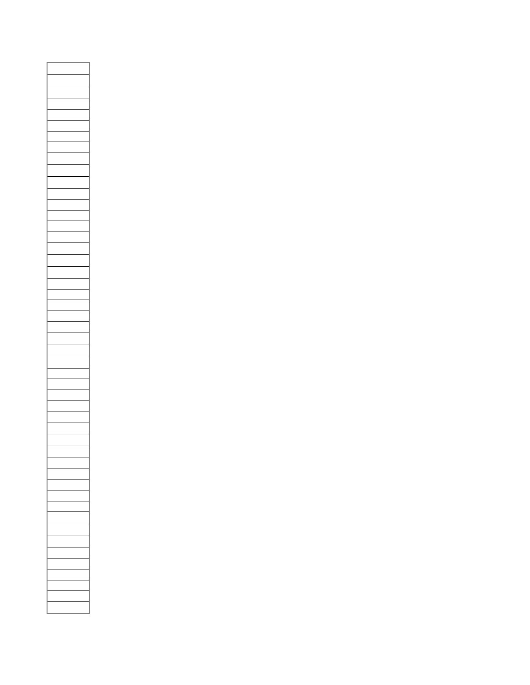